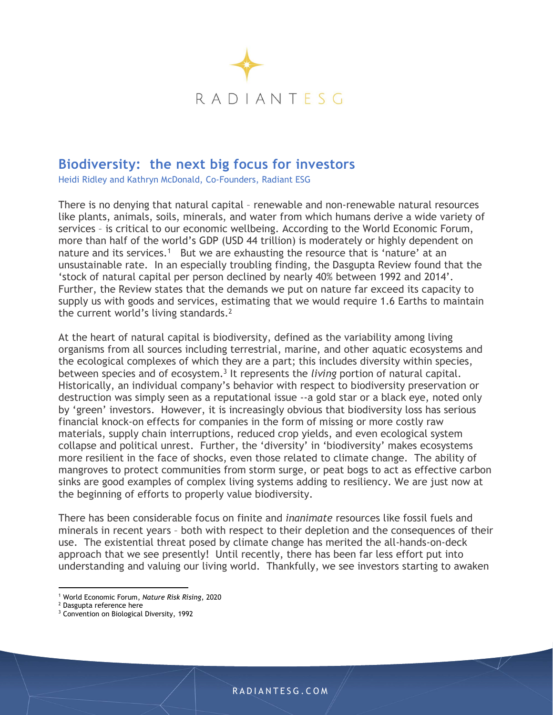

## Biodiversity: the next big focus for investors

Heidi Ridley and Kathryn McDonald, Co-Founders, Radiant ESG

There is no denying that natural capital – renewable and non-renewable natural resources like plants, animals, soils, minerals, and water from which humans derive a wide variety of services – is critical to our economic wellbeing. According to the World Economic Forum, more than half of the world's GDP (USD 44 trillion) is moderately or highly dependent on nature and its services.<sup>1</sup> But we are exhausting the resource that is 'nature' at an unsustainable rate. In an especially troubling finding, the Dasgupta Review found that the 'stock of natural capital per person declined by nearly 40% between 1992 and 2014'. Further, the Review states that the demands we put on nature far exceed its capacity to supply us with goods and services, estimating that we would require 1.6 Earths to maintain the current world's living standards.<sup>2</sup>

 At the heart of natural capital is biodiversity, defined as the variability among living organisms from all sources including terrestrial, marine, and other aquatic ecosystems and the ecological complexes of which they are a part; this includes diversity within species, between species and of ecosystem.<sup>3</sup> It represents the *living* portion of natural capital. Historically, an individual company's behavior with respect to biodiversity preservation or destruction was simply seen as a reputational issue --a gold star or a black eye, noted only by 'green' investors. However, it is increasingly obvious that biodiversity loss has serious financial knock-on effects for companies in the form of missing or more costly raw materials, supply chain interruptions, reduced crop yields, and even ecological system collapse and political unrest. Further, the 'diversity' in 'biodiversity' makes ecosystems more resilient in the face of shocks, even those related to climate change. The ability of mangroves to protect communities from storm surge, or peat bogs to act as effective carbon sinks are good examples of complex living systems adding to resiliency. We are just now at the beginning of efforts to properly value biodiversity.

There has been considerable focus on finite and inanimate resources like fossil fuels and minerals in recent years – both with respect to their depletion and the consequences of their use. The existential threat posed by climate change has merited the all-hands-on-deck approach that we see presently! Until recently, there has been far less effort put into understanding and valuing our living world. Thankfully, we see investors starting to awaken

<sup>&</sup>lt;sup>1</sup> World Economic Forum, Nature Risk Rising, 2020

<sup>&</sup>lt;sup>2</sup> Dasgupta reference here

<sup>&</sup>lt;sup>3</sup> Convention on Biological Diversity, 1992